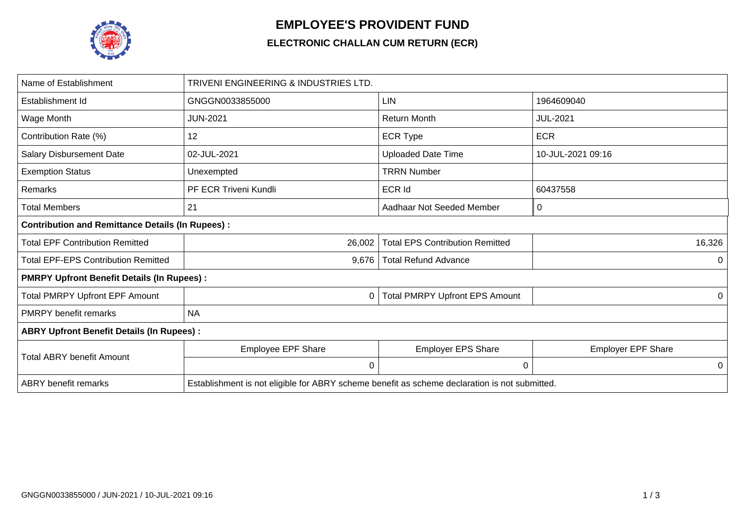

## **EMPLOYEE'S PROVIDENT FUND**

## **ELECTRONIC CHALLAN CUM RETURN (ECR)**

| Name of Establishment                                   | TRIVENI ENGINEERING & INDUSTRIES LTD.                                                         |                                        |                           |  |  |  |  |  |  |
|---------------------------------------------------------|-----------------------------------------------------------------------------------------------|----------------------------------------|---------------------------|--|--|--|--|--|--|
| Establishment Id                                        | GNGGN0033855000                                                                               | <b>LIN</b>                             | 1964609040                |  |  |  |  |  |  |
| Wage Month                                              | <b>JUN-2021</b>                                                                               | <b>Return Month</b>                    | <b>JUL-2021</b>           |  |  |  |  |  |  |
| Contribution Rate (%)                                   | 12                                                                                            | <b>ECR Type</b>                        | <b>ECR</b>                |  |  |  |  |  |  |
| <b>Salary Disbursement Date</b>                         | 02-JUL-2021                                                                                   | <b>Uploaded Date Time</b>              | 10-JUL-2021 09:16         |  |  |  |  |  |  |
| <b>Exemption Status</b>                                 | Unexempted                                                                                    | <b>TRRN Number</b>                     |                           |  |  |  |  |  |  |
| Remarks                                                 | PF ECR Triveni Kundli                                                                         | 60437558                               |                           |  |  |  |  |  |  |
| Total Members                                           | 21                                                                                            | $\mathbf 0$                            |                           |  |  |  |  |  |  |
| <b>Contribution and Remittance Details (In Rupees):</b> |                                                                                               |                                        |                           |  |  |  |  |  |  |
| <b>Total EPF Contribution Remitted</b>                  | 26,002                                                                                        | <b>Total EPS Contribution Remitted</b> | 16,326                    |  |  |  |  |  |  |
| <b>Total EPF-EPS Contribution Remitted</b>              | 9,676                                                                                         | <b>Total Refund Advance</b>            | 0                         |  |  |  |  |  |  |
| <b>PMRPY Upfront Benefit Details (In Rupees):</b>       |                                                                                               |                                        |                           |  |  |  |  |  |  |
| <b>Total PMRPY Upfront EPF Amount</b>                   | 0                                                                                             | <b>Total PMRPY Upfront EPS Amount</b>  | 0                         |  |  |  |  |  |  |
| <b>PMRPY</b> benefit remarks                            | <b>NA</b>                                                                                     |                                        |                           |  |  |  |  |  |  |
| <b>ABRY Upfront Benefit Details (In Rupees):</b>        |                                                                                               |                                        |                           |  |  |  |  |  |  |
| <b>Total ABRY benefit Amount</b>                        | Employee EPF Share                                                                            | <b>Employer EPS Share</b>              | <b>Employer EPF Share</b> |  |  |  |  |  |  |
|                                                         | $\Omega$                                                                                      | 0                                      | 0                         |  |  |  |  |  |  |
| <b>ABRY</b> benefit remarks                             | Establishment is not eligible for ABRY scheme benefit as scheme declaration is not submitted. |                                        |                           |  |  |  |  |  |  |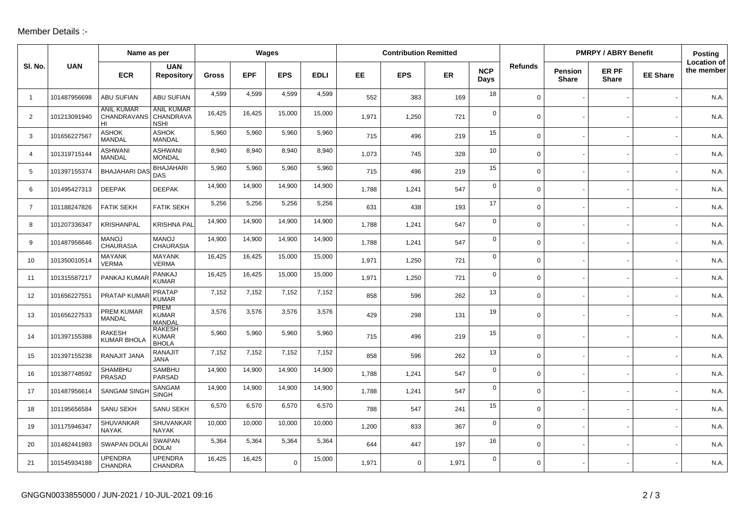## Member Details :-

|                | Name as per  |                                               |                                               | Wages        |            |            |             | <b>Contribution Remitted</b> |             |       |                    |                | <b>PMRPY / ABRY Benefit</b>    |                       |                 | <b>Posting</b>                   |
|----------------|--------------|-----------------------------------------------|-----------------------------------------------|--------------|------------|------------|-------------|------------------------------|-------------|-------|--------------------|----------------|--------------------------------|-----------------------|-----------------|----------------------------------|
| SI. No.        | <b>UAN</b>   | <b>ECR</b>                                    | <b>UAN</b><br><b>Repository</b>               | <b>Gross</b> | <b>EPF</b> | <b>EPS</b> | <b>EDLI</b> | EE.                          | <b>EPS</b>  | ER    | <b>NCP</b><br>Days | <b>Refunds</b> | <b>Pension</b><br><b>Share</b> | ER PF<br><b>Share</b> | <b>EE Share</b> | <b>Location of</b><br>the member |
| $\overline{1}$ | 101487956698 | <b>ABU SUFIAN</b>                             | <b>ABU SUFIAN</b>                             | 4,599        | 4,599      | 4,599      | 4,599       | 552                          | 383         | 169   | 18                 | $\mathbf 0$    |                                |                       |                 | N.A.                             |
| 2              | 101213091940 | <b>ANIL KUMAR</b><br><b>CHANDRAVANS</b><br>HI | <b>ANIL KUMAR</b><br>CHANDRAVA<br><b>NSHI</b> | 16,425       | 16,425     | 15,000     | 15,000      | 1,971                        | 1,250       | 721   | $\Omega$           | $\mathbf 0$    |                                |                       |                 | N.A.                             |
| 3              | 101656227567 | <b>ASHOK</b><br><b>MANDAL</b>                 | <b>ASHOK</b><br><b>MANDAL</b>                 | 5,960        | 5,960      | 5,960      | 5,960       | 715                          | 496         | 219   | 15                 | $\Omega$       |                                |                       |                 | N.A.                             |
| $\overline{4}$ | 101319715144 | <b>ASHWANI</b><br><b>MANDAL</b>               | <b>ASHWANI</b><br><b>MONDAL</b>               | 8,940        | 8,940      | 8,940      | 8,940       | 1.073                        | 745         | 328   | 10                 | $\mathbf 0$    |                                |                       |                 | N.A.                             |
| 5              | 101397155374 | <b>BHAJAHARI DA</b>                           | <b>BHAJAHARI</b><br>DAS                       | 5,960        | 5,960      | 5,960      | 5,960       | 715                          | 496         | 219   | 15                 | $\mathbf 0$    |                                |                       |                 | N.A.                             |
| 6              | 101495427313 | <b>DEEPAK</b>                                 | <b>DEEPAK</b>                                 | 14,900       | 14,900     | 14,900     | 14,900      | 1,788                        | 1,241       | 547   | $\mathbf 0$        | $\mathbf 0$    |                                |                       |                 | N.A.                             |
| $\overline{7}$ | 101188247826 | <b>FATIK SEKH</b>                             | <b>FATIK SEKH</b>                             | 5,256        | 5,256      | 5,256      | 5,256       | 631                          | 438         | 193   | 17                 | 0 <sup>1</sup> |                                |                       |                 | N.A.                             |
| 8              | 101207336347 | <b>KRISHANPAL</b>                             | <b>KRISHNA PAL</b>                            | 14,900       | 14,900     | 14,900     | 14,900      | 1,788                        | 1,241       | 547   | $\mathbf 0$        | $\mathbf 0$    |                                |                       |                 | N.A.                             |
| 9              | 101487956646 | <b>MANOJ</b><br><b>CHAURASIA</b>              | <b>MANOJ</b><br><b>CHAURASIA</b>              | 14,900       | 14,900     | 14,900     | 14,900      | 1,788                        | 1,241       | 547   | $\mathbf 0$        | $\mathbf 0$    |                                |                       |                 | N.A.                             |
| 10             | 101350010514 | MAYANK<br><b>VERMA</b>                        | <b>MAYANK</b><br><b>VERMA</b>                 | 16,425       | 16,425     | 15,000     | 15,000      | 1,971                        | 1,250       | 721   | 0                  | $\mathbf 0$    |                                |                       |                 | N.A.                             |
| 11             | 101315587217 | PANKAJ KUMA                                   | PANKAJ<br><b>KUMAR</b>                        | 16,425       | 16,425     | 15,000     | 15,000      | 1,971                        | 1,250       | 721   | $\mathbf 0$        | $\mathbf 0$    |                                |                       |                 | N.A.                             |
| 12             | 101656227551 | PRATAP KUMA                                   | <b>PRATAP</b><br><b>KUMAR</b>                 | 7,152        | 7,152      | 7,152      | 7,152       | 858                          | 596         | 262   | 13                 | $\mathbf 0$    |                                |                       |                 | N.A.                             |
| 13             | 101656227533 | PREM KUMAR<br><b>MANDAL</b>                   | <b>PREM</b><br><b>KUMAR</b><br><b>MANDAL</b>  | 3,576        | 3,576      | 3,576      | 3,576       | 429                          | 298         | 131   | 19                 | $\mathbf 0$    |                                |                       |                 | N.A.                             |
| 14             | 101397155388 | <b>RAKESH</b><br><b>KUMAR BHOLA</b>           | <b>RAKESH</b><br><b>KUMAR</b><br><b>BHOLA</b> | 5,960        | 5,960      | 5,960      | 5,960       | 715                          | 496         | 219   | 15                 | $\overline{0}$ |                                |                       |                 | N.A.                             |
| 15             | 101397155238 | RANAJIT JANA                                  | <b>RANAJIT</b><br><b>JANA</b>                 | 7,152        | 7,152      | 7,152      | 7,152       | 858                          | 596         | 262   | 13                 | $\mathbf 0$    |                                |                       |                 | N.A.                             |
| 16             | 101387748592 | SHAMBHU<br><b>PRASAD</b>                      | SAMBHU<br>PARSAD                              | 14,900       | 14,900     | 14,900     | 14,900      | 1.788                        | 1,241       | 547   | $\mathbf 0$        | $\mathbf 0$    |                                |                       |                 | N.A.                             |
| 17             | 101487956614 | <b>SANGAM SING</b>                            | SANGAM<br><b>SINGH</b>                        | 14,900       | 14,900     | 14,900     | 14,900      | 1,788                        | 1,241       | 547   | $\mathbf 0$        | $\mathbf 0$    |                                |                       |                 | N.A.                             |
| 18             | 101195656584 | <b>SANU SEKH</b>                              | <b>SANU SEKH</b>                              | 6,570        | 6,570      | 6,570      | 6,570       | 788                          | 547         | 241   | 15                 | $\mathbf 0$    |                                |                       |                 | N.A.                             |
| 19             | 101175946347 | <b>SHUVANKAR</b><br><b>NAYAK</b>              | SHUVANKAR<br><b>NAYAK</b>                     | 10,000       | 10,000     | 10,000     | 10,000      | 1,200                        | 833         | 367   | $\mathbf 0$        | $\mathbf 0$    |                                |                       |                 | N.A.                             |
| 20             | 101482441983 | <b>SWAPAN DOLA</b>                            | <b>SWAPAN</b><br><b>DOLAI</b>                 | 5,364        | 5,364      | 5,364      | 5,364       | 644                          | 447         | 197   | 16                 | $\mathbf 0$    |                                |                       |                 | N.A.                             |
| 21             | 101545934188 | <b>UPENDRA</b><br><b>CHANDRA</b>              | <b>UPENDRA</b><br>CHANDRA                     | 16,425       | 16,425     | $\Omega$   | 15,000      | 1,971                        | $\mathbf 0$ | 1,971 | $\Omega$           | $\mathbf 0$    |                                |                       |                 | N.A.                             |